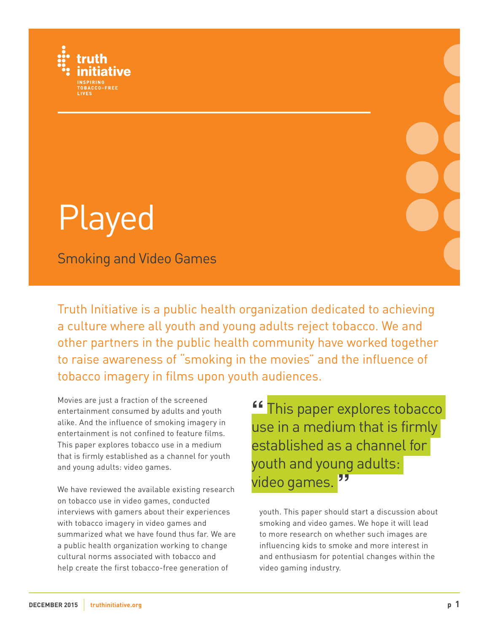

# Played

Smoking and Video Games

Truth Initiative is a public health organization dedicated to achieving a culture where all youth and young adults reject tobacco. We and other partners in the public health community have worked together to raise awareness of "smoking in the movies" and the influence of tobacco imagery in films upon youth audiences.

Movies are just a fraction of the screened entertainment consumed by adults and youth alike. And the influence of smoking imagery in entertainment is not confined to feature films. This paper explores tobacco use in a medium that is firmly established as a channel for youth and young adults: video games.

We have reviewed the available existing research on tobacco use in video games, conducted interviews with gamers about their experiences with tobacco imagery in video games and summarized what we have found thus far. We are a public health organization working to change cultural norms associated with tobacco and help create the first tobacco-free generation of

**"** This paper explores tobacco use in a medium that is firmly established as a channel for youth and young adults: video games.**"**

youth. This paper should start a discussion about smoking and video games. We hope it will lead to more research on whether such images are influencing kids to smoke and more interest in and enthusiasm for potential changes within the video gaming industry.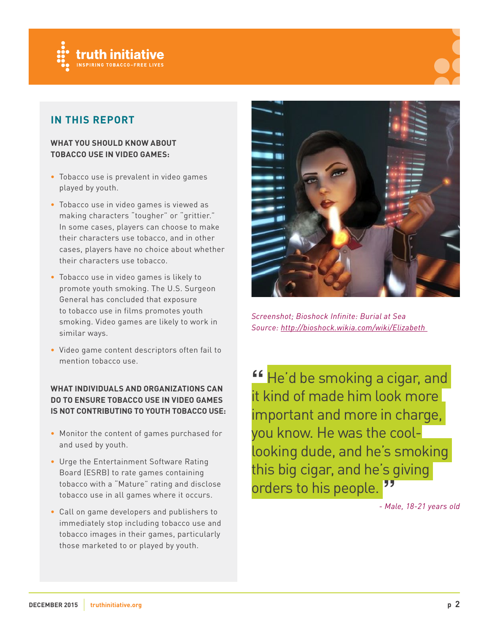

# **IN THIS REPORT**

#### **WHAT YOU SHOULD KNOW ABOUT TOBACCO USE IN VIDEO GAMES:**

- **•** Tobacco use is prevalent in video games played by youth.
- **•** Tobacco use in video games is viewed as making characters "tougher" or "grittier." In some cases, players can choose to make their characters use tobacco, and in other cases, players have no choice about whether their characters use tobacco.
- **•** Tobacco use in video games is likely to promote youth smoking. The U.S. Surgeon General has concluded that exposure to tobacco use in films promotes youth smoking. Video games are likely to work in similar ways.
- **•** Video game content descriptors often fail to mention tobacco use.

#### **WHAT INDIVIDUALS AND ORGANIZATIONS CAN DO TO ENSURE TOBACCO USE IN VIDEO GAMES IS NOT CONTRIBUTING TO YOUTH TOBACCO USE:**

- **•** Monitor the content of games purchased for and used by youth.
- **•** Urge the Entertainment Software Rating Board (ESRB) to rate games containing tobacco with a "Mature" rating and disclose tobacco use in all games where it occurs.
- **•** Call on game developers and publishers to immediately stop including tobacco use and tobacco images in their games, particularly those marketed to or played by youth.



*Screenshot; Bioshock Infinite: Burial at Sea Source: [h](http://bioshock.wikia.com/wiki/)ttp://bioshock.wikia.com/wiki/Elizabeth* 

**"** He'd be smoking a cigar, and it kind of made him look more important and more in charge, you know. He was the coollooking dude, and he's smoking this big cigar, and he's giving orders to his people.**"**

*- Male, 18-21 years old*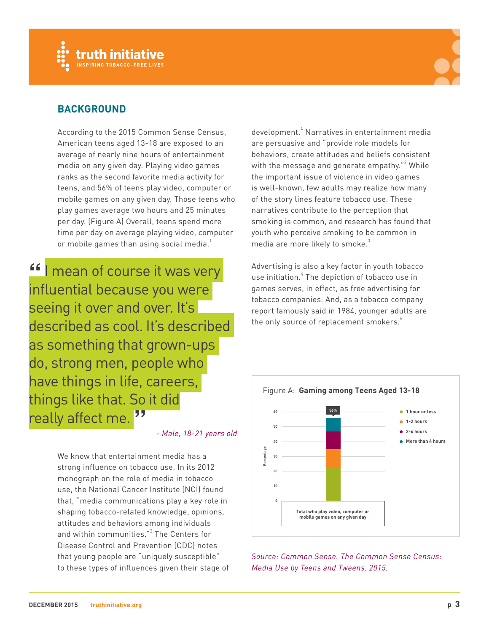



# **BACKGROUND**

According to the 2015 Common Sense Census, American teens aged 13-18 are exposed to an average of nearly nine hours of entertainment media on any given day. Playing video games ranks as the second favorite media activity for teens, and 56% of teens play video, computer or mobile games on any given day. Those teens who play games average two hours and 25 minutes per day. (Figure A) Overall, teens spend more time per day on average playing video, computer or mobile games than using social media.<sup>1</sup>

**"**I mean of course it was very influential because you were seeing it over and over. It's described as cool. It's described as something that grown-ups do, strong men, people who have things in life, careers, things like that. So it did really affect me. **"**

*- Male, 18-21 years old*

We know that entertainment media has a strong influence on tobacco use. In its 2012 monograph on the role of media in tobacco use, the National Cancer Institute (NCI) found that, "media communications play a key role in shaping tobacco-related knowledge, opinions, attitudes and behaviors among individuals and within communities."<sup>2</sup> The Centers for Disease Control and Prevention (CDC) notes that young people are "uniquely susceptible" to these types of influences given their stage of

development.<sup>4</sup> Narratives in entertainment media are persuasive and "provide role models for behaviors, create attitudes and beliefs consistent with the message and generate empathy." $^{\rm 2}$  While the important issue of violence in video games is well-known, few adults may realize how many of the story lines feature tobacco use. These narratives contribute to the perception that smoking is common, and research has found that youth who perceive smoking to be common in media are more likely to smoke.<sup>3</sup>

Advertising is also a key factor in youth tobacco use initiation. $\hbox{}^4$  The depiction of tobacco use in games serves, in effect, as free advertising for tobacco companies. And, as a tobacco company report famously said in 1984, younger adults are the only source of replacement smokers.<sup>5</sup>



*Source: Common Sense. The Common Sense Census: Media Use by Teens and Tweens. 2015.*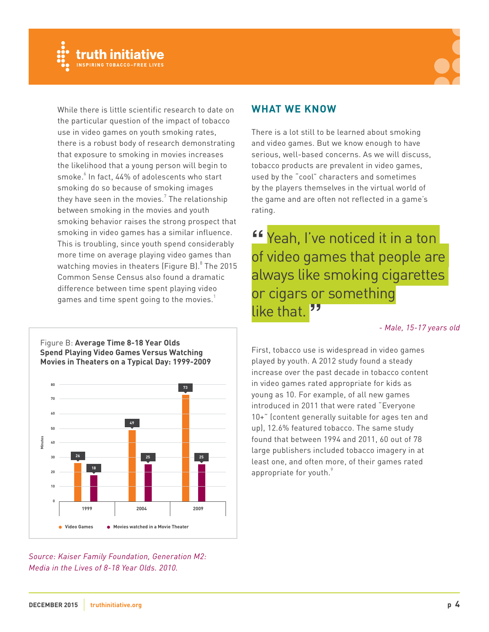



While there is little scientific research to date on the particular question of the impact of tobacco use in video games on youth smoking rates, there is a robust body of research demonstrating that exposure to smoking in movies increases the likelihood that a young person will begin to smoke. $^6$  In fact, 44% of adolescents who start smoking do so because of smoking images they have seen in the movies. $^7$  The relationship between smoking in the movies and youth smoking behavior raises the strong prospect that smoking in video games has a similar influence. This is troubling, since youth spend considerably more time on average playing video games than watching movies in theaters (Figure B). $^8$  The 2015 Common Sense Census also found a dramatic difference between time spent playing video games and time spent going to the movies. $1$ 

## **WHAT WE KNOW**

There is a lot still to be learned about smoking and video games. But we know enough to have serious, well-based concerns. As we will discuss, tobacco products are prevalent in video games, used by the "cool" characters and sometimes by the players themselves in the virtual world of the game and are often not reflected in a game's rating.

**"** Yeah, I've noticed it in a ton of video games that people are always like smoking cigarettes or cigars or something like that.

#### *- Male, 15-17 years old*

First, tobacco use is widespread in video games played by youth. A 2012 study found a steady increase over the past decade in tobacco content in video games rated appropriate for kids as young as 10. For example, of all new games introduced in 2011 that were rated "Everyone 10+" (content generally suitable for ages ten and up), 12.6% featured tobacco. The same study found that between 1994 and 2011, 60 out of 78 large publishers included tobacco imagery in at least one, and often more, of their games rated appropriate for youth.<sup>9</sup>

#### Figure B: **Average Time 8-18 Year Olds Spend Playing Video Games Versus Watching Movies in Theaters on a Typical Day: 1999-2009**



*Source: Kaiser Family Foundation, Generation M2: Media in the Lives of 8-18 Year Olds. 2010.*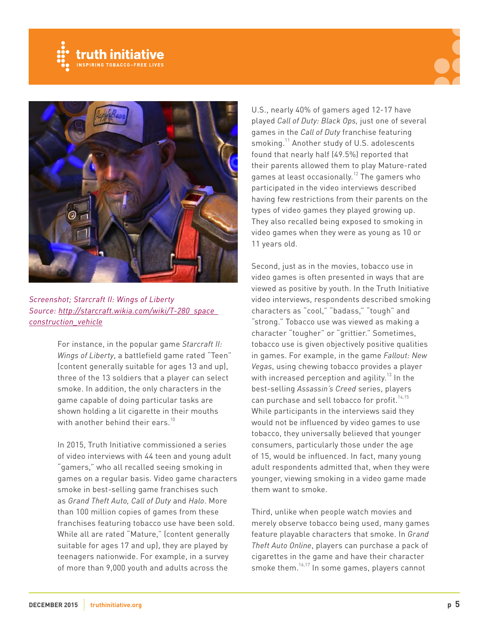





*Screenshot; Starcraft II: Wings of Liberty Source: [http://starcraft.wikia.com/wiki/T-280\\_space\\_](http://starcraft.wikia.com/wiki/T-280_space_construction_vehicle) [construction\\_vehicle](http://starcraft.wikia.com/wiki/T-280_space_construction_vehicle)*

For instance, in the popular game *Starcraft II: Wings of Liberty*, a battlefield game rated "Teen" (content generally suitable for ages 13 and up), three of the 13 soldiers that a player can select smoke. In addition, the only characters in the game capable of doing particular tasks are shown holding a lit cigarette in their mouths with another behind their ears.<sup>10</sup>

In 2015, Truth Initiative commissioned a series of video interviews with 44 teen and young adult "gamers," who all recalled seeing smoking in games on a regular basis. Video game characters smoke in best-selling game franchises such as *Grand Theft Auto, Call of Duty* and *Halo*. More than 100 million copies of games from these franchises featuring tobacco use have been sold. While all are rated "Mature," (content generally suitable for ages 17 and up), they are played by teenagers nationwide. For example, in a survey of more than 9,000 youth and adults across the

U.S., nearly 40% of gamers aged 12-17 have played *Call of Duty: Black Ops,* just one of several games in the *Call of Duty* franchise featuring smoking.<sup>11</sup> Another study of U.S. adolescents found that nearly half (49.5%) reported that their parents allowed them to play Mature-rated games at least occasionally.<sup>12</sup> The gamers who participated in the video interviews described having few restrictions from their parents on the types of video games they played growing up. They also recalled being exposed to smoking in video games when they were as young as 10 or 11 years old.

Second, just as in the movies, tobacco use in video games is often presented in ways that are viewed as positive by youth. In the Truth Initiative video interviews, respondents described smoking characters as "cool," "badass," "tough" and "strong." Tobacco use was viewed as making a character "tougher" or "grittier." Sometimes, tobacco use is given objectively positive qualities in games. For example, in the game *Fallout: New Vegas*, using chewing tobacco provides a player with increased perception and agility.<sup>13</sup> In the best-selling *Assassin's Creed* series, players can purchase and sell tobacco for profit.<sup>14,15</sup> While participants in the interviews said they would not be influenced by video games to use tobacco, they universally believed that younger consumers, particularly those under the age of 15, would be influenced. In fact, many young adult respondents admitted that, when they were younger, viewing smoking in a video game made them want to smoke.

Third, unlike when people watch movies and merely observe tobacco being used, many games feature playable characters that smoke. In *Grand Theft Auto Online*, players can purchase a pack of cigarettes in the game and have their character smoke them.16,17 In some games, players cannot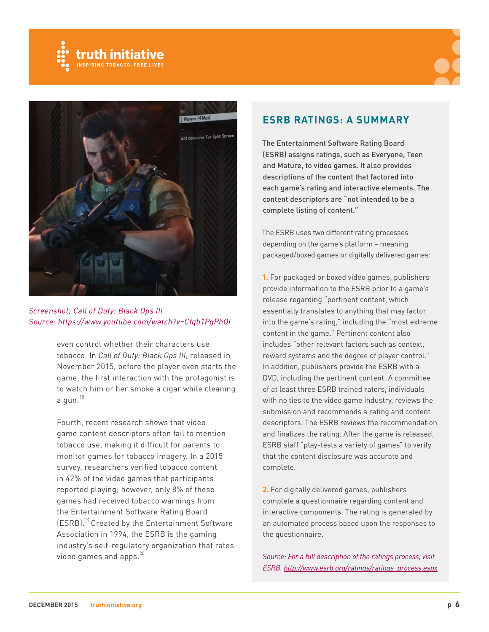





*Screenshot; Call of Duty: Black Ops III Source: <https://www.youtube.com/watch?v=Cfqb1PgPhQI>*

even control whether their characters use tobacco. In *Call of Duty: Black Ops III*, released in November 2015, before the player even starts the game, the first interaction with the protagonist is to watch him or her smoke a cigar while cleaning a gun. $18$ 

Fourth, recent research shows that video game content descriptors often fail to mention tobacco use, making it difficult for parents to monitor games for tobacco imagery. In a 2015 survey, researchers verified tobacco content in 42% of the video games that participants reported playing; however, only 8% of these games had received tobacco warnings from the Entertainment Software Rating Board (ESRB).<sup>19</sup> Created by the Entertainment Software Association in 1994, the ESRB is the gaming industry's self-regulatory organization that rates video games and apps.<sup>20</sup>

### **ESRB RATINGS: A SUMMARY**

The Entertainment Software Rating Board (ESRB) assigns ratings, such as Everyone, Teen and Mature, to video games. It also provides descriptions of the content that factored into each game's rating and interactive elements. The content descriptors are "not intended to be a complete listing of content."

The ESRB uses two different rating processes depending on the game's platform – meaning packaged/boxed games or digitally delivered games:

**1.** For packaged or boxed video games, publishers provide information to the ESRB prior to a game's release regarding "pertinent content, which essentially translates to anything that may factor into the game's rating," including the "most extreme content in the game." Pertinent content also includes "other relevant factors such as context, reward systems and the degree of player control." In addition, publishers provide the ESRB with a DVD, including the pertinent content. A committee of at least three ESRB trained raters, individuals with no ties to the video game industry, reviews the submission and recommends a rating and content descriptors. The ESRB reviews the recommendation and finalizes the rating. After the game is released, ESRB staff "play-tests a variety of games" to verify that the content disclosure was accurate and complete.

**2.** For digitally delivered games, publishers complete a questionnaire regarding content and interactive components. The rating is generated by an automated process based upon the responses to the questionnaire.

*Source: For a full description of the ratings process, visit ESRB. [http://www.esrb.org/ratings/ratings\\_process.aspx](http://www.esrb.org/ratings/ratings_process.aspx)*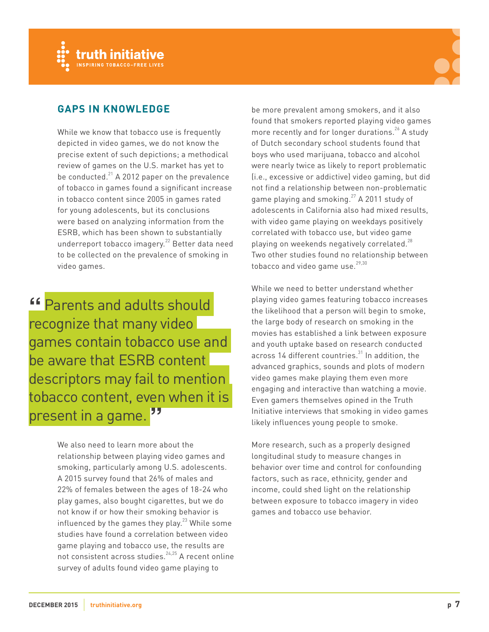



# **GAPS IN KNOWLEDGE**

While we know that tobacco use is frequently depicted in video games, we do not know the precise extent of such depictions; a methodical review of games on the U.S. market has yet to be conducted. $^{21}$  A 2012 paper on the prevalence of tobacco in games found a significant increase in tobacco content since 2005 in games rated for young adolescents, but its conclusions were based on analyzing information from the ESRB, which has been shown to substantially underreport tobacco imagery.<sup>22</sup> Better data need to be collected on the prevalence of smoking in video games.

**"** Parents and adults should recognize that many video games contain tobacco use and be aware that ESRB content descriptors may fail to mention tobacco content, even when it is present in a game. **"**

> We also need to learn more about the relationship between playing video games and smoking, particularly among U.S. adolescents. A 2015 survey found that 26% of males and 22% of females between the ages of 18-24 who play games, also bought cigarettes, but we do not know if or how their smoking behavior is influenced by the games they play.<sup>23</sup> While some studies have found a correlation between video game playing and tobacco use, the results are not consistent across studies. $24,25$  A recent online survey of adults found video game playing to

be more prevalent among smokers, and it also found that smokers reported playing video games more recently and for longer durations.<sup>26</sup> A study of Dutch secondary school students found that boys who used marijuana, tobacco and alcohol were nearly twice as likely to report problematic (i.e., excessive or addictive) video gaming, but did not find a relationship between non-problematic game playing and smoking.<sup>27</sup> A 2011 study of adolescents in California also had mixed results, with video game playing on weekdays positively correlated with tobacco use, but video game playing on weekends negatively correlated.<sup>28</sup> Two other studies found no relationship between tobacco and video game use. $29,30$ 

While we need to better understand whether playing video games featuring tobacco increases the likelihood that a person will begin to smoke, the large body of research on smoking in the movies has established a link between exposure and youth uptake based on research conducted across 14 different countries. $31$  In addition, the advanced graphics, sounds and plots of modern video games make playing them even more engaging and interactive than watching a movie. Even gamers themselves opined in the Truth Initiative interviews that smoking in video games likely influences young people to smoke.

More research, such as a properly designed longitudinal study to measure changes in behavior over time and control for confounding factors, such as race, ethnicity, gender and income, could shed light on the relationship between exposure to tobacco imagery in video games and tobacco use behavior.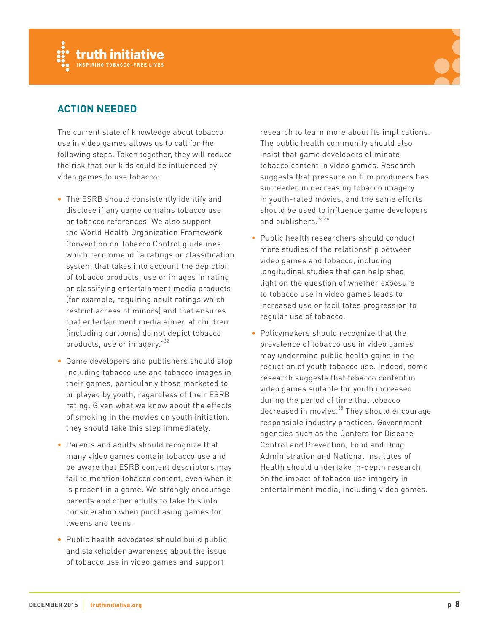



# **ACTION NEEDED**

The current state of knowledge about tobacco use in video games allows us to call for the following steps. Taken together, they will reduce the risk that our kids could be influenced by video games to use tobacco:

- **•** The ESRB should consistently identify and disclose if any game contains tobacco use or tobacco references. We also support the World Health Organization Framework Convention on Tobacco Control guidelines which recommend "a ratings or classification system that takes into account the depiction of tobacco products, use or images in rating or classifying entertainment media products (for example, requiring adult ratings which restrict access of minors) and that ensures that entertainment media aimed at children (including cartoons) do not depict tobacco products, use or imagery."<sup>32</sup>
- **•** Game developers and publishers should stop including tobacco use and tobacco images in their games, particularly those marketed to or played by youth, regardless of their ESRB rating. Given what we know about the effects of smoking in the movies on youth initiation, they should take this step immediately.
- **•** Parents and adults should recognize that many video games contain tobacco use and be aware that ESRB content descriptors may fail to mention tobacco content, even when it is present in a game. We strongly encourage parents and other adults to take this into consideration when purchasing games for tweens and teens.
- **•** Public health advocates should build public and stakeholder awareness about the issue of tobacco use in video games and support

research to learn more about its implications. The public health community should also insist that game developers eliminate tobacco content in video games. Research suggests that pressure on film producers has succeeded in decreasing tobacco imagery in youth-rated movies, and the same efforts should be used to influence game developers and publishers. 33,34

- **•** Public health researchers should conduct more studies of the relationship between video games and tobacco, including longitudinal studies that can help shed light on the question of whether exposure to tobacco use in video games leads to increased use or facilitates progression to regular use of tobacco.
- **•** Policymakers should recognize that the prevalence of tobacco use in video games may undermine public health gains in the reduction of youth tobacco use. Indeed, some research suggests that tobacco content in video games suitable for youth increased during the period of time that tobacco decreased in movies.<sup>35</sup> They should encourage responsible industry practices. Government agencies such as the Centers for Disease Control and Prevention, Food and Drug Administration and National Institutes of Health should undertake in-depth research on the impact of tobacco use imagery in entertainment media, including video games.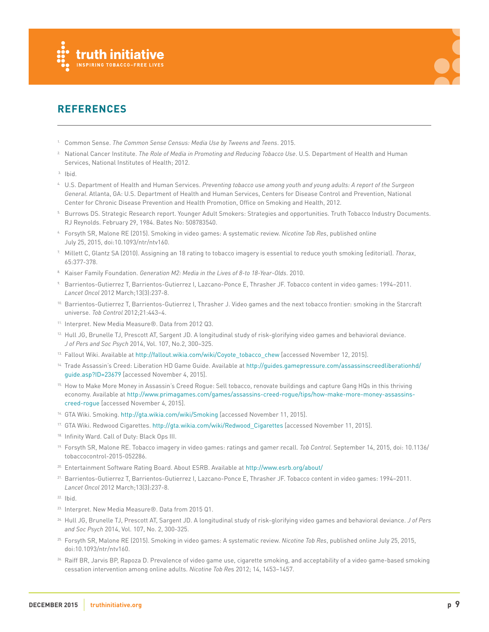



# **REFERENCES**

- 1. Common Sense. *The Common Sense Census: Media Use by Tweens and Teens*. 2015.
- 2. National Cancer Institute. *The Role of Media in Promoting and Reducing Tobacco Use*. U.S. Department of Health and Human Services, National Institutes of Health; 2012.
- 3. Ibid.
- 4. U.S. Department of Health and Human Services. *Preventing tobacco use among youth and young adults: A report of the Surgeon General*. Atlanta, GA: U.S. Department of Health and Human Services, Centers for Disease Control and Prevention, National Center for Chronic Disease Prevention and Health Promotion, Office on Smoking and Health, 2012.
- 5. Burrows DS. Strategic Research report. Younger Adult Smokers: Strategies and opportunities. Truth Tobacco Industry Documents. RJ Reynolds. February 29, 1984. Bates No: 508783540.
- 6. Forsyth SR, Malone RE (2015). Smoking in video games: A systematic review. *Nicotine Tob Res*, published online July 25, 2015, doi:10.1093/ntr/ntv160.
- 7. Millett C, Glantz SA (2010). Assigning an 18 rating to tobacco imagery is essential to reduce youth smoking (editorial). *Thorax*, 65:377-378.
- 8. Kaiser Family Foundation. *Generation M2: Media in the Lives of 8-to 18-Year-Olds*. 2010.
- 9. Barrientos-Gutierrez T, Barrientos-Gutierrez I, Lazcano-Ponce E, Thrasher JF. Tobacco content in video games: 1994–2011. *Lancet Oncol* 2012 March;13(3):237-8.
- 10. Barrientos-Gutierrez T, Barrientos-Gutierrez I, Thrasher J. Video games and the next tobacco frontier: smoking in the Starcraft universe. *Tob Control* 2012;21:443–4.
- 11. Interpret. New Media Measure®. Data from 2012 Q3.
- 12. Hull JG, Brunelle TJ, Prescott AT, Sargent JD. A longitudinal study of risk-glorifying video games and behavioral deviance. *J of Pers and Soc Psych* 2014, Vol. 107, No.2, 300–325.
- 13. Fallout Wiki. Available at [http://fallout.wikia.com/wiki/Coyote\\_tobacco\\_chew](http://fallout.wikia.com/wiki/Coyote_tobacco_chew) [accessed November 12, 2015].
- 14. Trade Assassin's Creed: Liberation HD Game Guide. Available at [http://guides.gamepressure.com/assassinscreedliberationhd/](http://guides.gamepressure.com/assassinscreedliberationhd/guide.asp?ID=23679) [guide.asp?ID=23679](http://guides.gamepressure.com/assassinscreedliberationhd/guide.asp?ID=23679) [accessed November 4, 2015].
- 15. How to Make More Money in Assassin's Creed Rogue: Sell tobacco, renovate buildings and capture Gang HQs in this thriving economy. Available at [http://www.primagames.com/games/assassins-creed-rogue/tips/how-make-more-money-assassins](http://www.primagames.com/games/assassins-creed-rogue/tips/how-make-more-money-assassins-creed-rogue)[creed-rogue](http://www.primagames.com/games/assassins-creed-rogue/tips/how-make-more-money-assassins-creed-rogue) [accessed November 4, 2015].
- 16. GTA Wiki. Smoking.<http://gta.wikia.com/wiki/Smoking> [accessed November 11, 2015].
- <sup>17.</sup> GTA Wiki. Redwood Cigarettes. http://gta.wikia.com/wiki/Redwood Cigarettes [accessed November 11, 2015].
- 18. Infinity Ward. Call of Duty: Black Ops III.
- 19. Forsyth SR, Malone RE. Tobacco imagery in video games: ratings and gamer recall. *Tob Control*. September 14, 2015, doi: 10.1136/ tobaccocontrol-2015-052286.
- 20. Entertainment Software Rating Board. About ESRB. Available at <http://www.esrb.org/about/>
- 21. Barrientos-Gutierrez T, Barrientos-Gutierrez I, Lazcano-Ponce E, Thrasher JF. Tobacco content in video games: 1994–2011. *Lancet Oncol* 2012 March;13(3):237-8.
- 22. Ibid.
- 23. Interpret. New Media Measure®. Data from 2015 Q1.
- 24. Hull JG, Brunelle TJ, Prescott AT, Sargent JD. A longitudinal study of risk-glorifying video games and behavioral deviance. *J of Pers and Soc Psych* 2014, Vol. 107, No. 2, 300-325.
- 25. Forsyth SR, Malone RE (2015). Smoking in video games: A systematic review. *Nicotine Tob Res*, published online July 25, 2015, doi:10.1093/ntr/ntv160.
- 26. Raiff BR, Jarvis BP, Rapoza D. Prevalence of video game use, cigarette smoking, and acceptability of a video game-based smoking cessation intervention among online adults. *Nicotine Tob Re*s 2012; 14, 1453–1457.